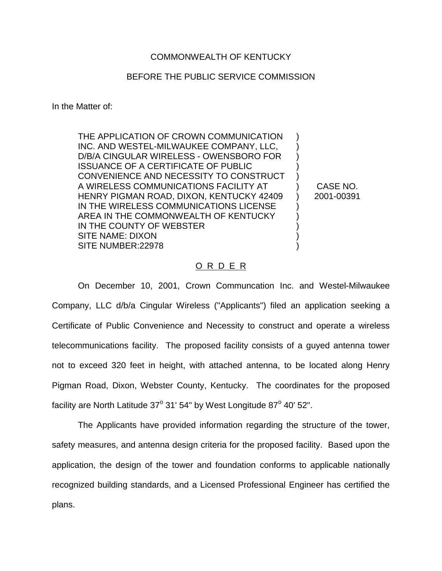## COMMONWEALTH OF KENTUCKY

## BEFORE THE PUBLIC SERVICE COMMISSION

In the Matter of:

THE APPLICATION OF CROWN COMMUNICATION INC. AND WESTEL-MILWAUKEE COMPANY, LLC, D/B/A CINGULAR WIRELESS - OWENSBORO FOR ISSUANCE OF A CERTIFICATE OF PUBLIC CONVENIENCE AND NECESSITY TO CONSTRUCT A WIRELESS COMMUNICATIONS FACILITY AT HENRY PIGMAN ROAD, DIXON, KENTUCKY 42409 IN THE WIRELESS COMMUNICATIONS LICENSE AREA IN THE COMMONWEALTH OF KENTUCKY IN THE COUNTY OF WEBSTER SITE NAME: DIXON SITE NUMBER:22978

CASE NO. 2001-00391

) ) ) ) ) )  $\lambda$ ) ) ) ) )

## O R D E R

On December 10, 2001, Crown Communcation Inc. and Westel-Milwaukee Company, LLC d/b/a Cingular Wireless ("Applicants") filed an application seeking a Certificate of Public Convenience and Necessity to construct and operate a wireless telecommunications facility. The proposed facility consists of a guyed antenna tower not to exceed 320 feet in height, with attached antenna, to be located along Henry Pigman Road, Dixon, Webster County, Kentucky. The coordinates for the proposed facility are North Latitude  $37^{\circ}$  31' 54" by West Longitude  $87^{\circ}$  40' 52".

The Applicants have provided information regarding the structure of the tower, safety measures, and antenna design criteria for the proposed facility. Based upon the application, the design of the tower and foundation conforms to applicable nationally recognized building standards, and a Licensed Professional Engineer has certified the plans.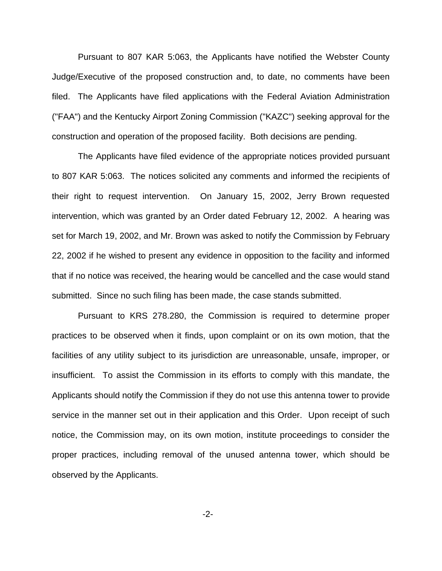Pursuant to 807 KAR 5:063, the Applicants have notified the Webster County Judge/Executive of the proposed construction and, to date, no comments have been filed. The Applicants have filed applications with the Federal Aviation Administration ("FAA") and the Kentucky Airport Zoning Commission ("KAZC") seeking approval for the construction and operation of the proposed facility. Both decisions are pending.

The Applicants have filed evidence of the appropriate notices provided pursuant to 807 KAR 5:063. The notices solicited any comments and informed the recipients of their right to request intervention. On January 15, 2002, Jerry Brown requested intervention, which was granted by an Order dated February 12, 2002. A hearing was set for March 19, 2002, and Mr. Brown was asked to notify the Commission by February 22, 2002 if he wished to present any evidence in opposition to the facility and informed that if no notice was received, the hearing would be cancelled and the case would stand submitted. Since no such filing has been made, the case stands submitted.

Pursuant to KRS 278.280, the Commission is required to determine proper practices to be observed when it finds, upon complaint or on its own motion, that the facilities of any utility subject to its jurisdiction are unreasonable, unsafe, improper, or insufficient. To assist the Commission in its efforts to comply with this mandate, the Applicants should notify the Commission if they do not use this antenna tower to provide service in the manner set out in their application and this Order. Upon receipt of such notice, the Commission may, on its own motion, institute proceedings to consider the proper practices, including removal of the unused antenna tower, which should be observed by the Applicants.

-2-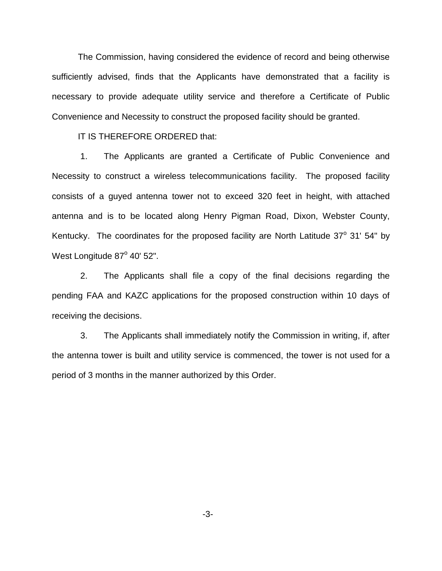The Commission, having considered the evidence of record and being otherwise sufficiently advised, finds that the Applicants have demonstrated that a facility is necessary to provide adequate utility service and therefore a Certificate of Public Convenience and Necessity to construct the proposed facility should be granted.

IT IS THEREFORE ORDERED that:

1. The Applicants are granted a Certificate of Public Convenience and Necessity to construct a wireless telecommunications facility. The proposed facility consists of a guyed antenna tower not to exceed 320 feet in height, with attached antenna and is to be located along Henry Pigman Road, Dixon, Webster County, Kentucky. The coordinates for the proposed facility are North Latitude  $37^{\circ}$  31' 54" by West Longitude 87° 40' 52".

2. The Applicants shall file a copy of the final decisions regarding the pending FAA and KAZC applications for the proposed construction within 10 days of receiving the decisions.

3. The Applicants shall immediately notify the Commission in writing, if, after the antenna tower is built and utility service is commenced, the tower is not used for a period of 3 months in the manner authorized by this Order.

-3-